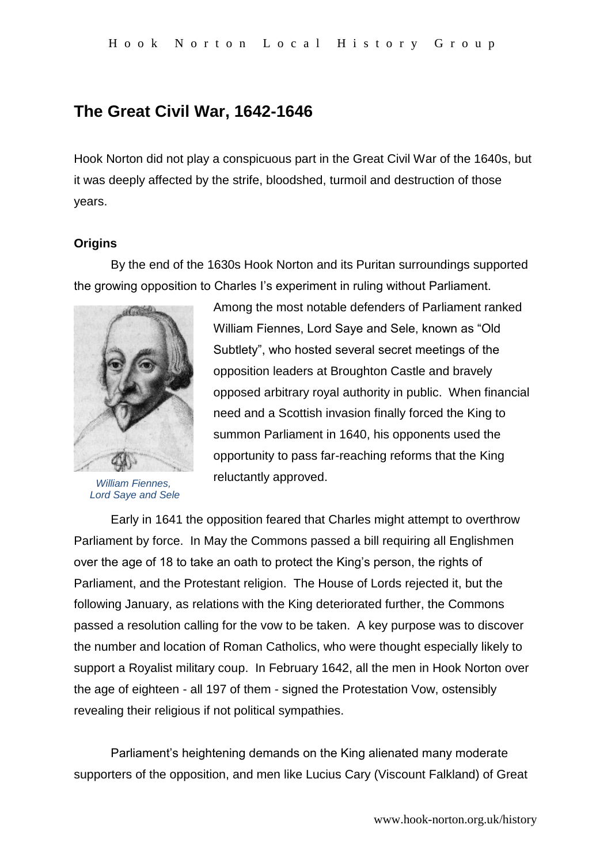# **The Great Civil War, 1642-1646**

Hook Norton did not play a conspicuous part in the Great Civil War of the 1640s, but it was deeply affected by the strife, bloodshed, turmoil and destruction of those years.

# **Origins**

By the end of the 1630s Hook Norton and its Puritan surroundings supported the growing opposition to Charles I's experiment in ruling without Parliament.



*William Fiennes, Lord Saye and Sele*

Among the most notable defenders of Parliament ranked William Fiennes, Lord Saye and Sele, known as "Old Subtlety", who hosted several secret meetings of the opposition leaders at Broughton Castle and bravely opposed arbitrary royal authority in public. When financial need and a Scottish invasion finally forced the King to summon Parliament in 1640, his opponents used the opportunity to pass far-reaching reforms that the King reluctantly approved.

Early in 1641 the opposition feared that Charles might attempt to overthrow Parliament by force. In May the Commons passed a bill requiring all Englishmen over the age of 18 to take an oath to protect the King's person, the rights of Parliament, and the Protestant religion. The House of Lords rejected it, but the following January, as relations with the King deteriorated further, the Commons passed a resolution calling for the vow to be taken. A key purpose was to discover the number and location of Roman Catholics, who were thought especially likely to support a Royalist military coup. In February 1642, all the men in Hook Norton over the age of eighteen - all 197 of them - signed the Protestation Vow, ostensibly revealing their religious if not political sympathies.

Parliament's heightening demands on the King alienated many moderate supporters of the opposition, and men like Lucius Cary (Viscount Falkland) of Great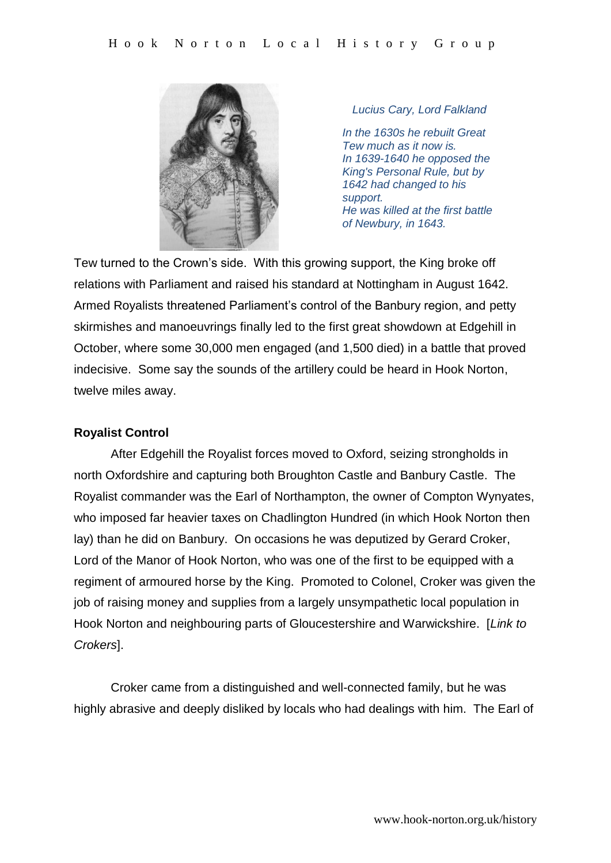

*Lucius Cary, Lord Falkland*

*In the 1630s he rebuilt Great Tew much as it now is. In 1639-1640 he opposed the King's Personal Rule, but by 1642 had changed to his support. He was killed at the first battle of Newbury, in 1643.*

Tew turned to the Crown's side. With this growing support, the King broke off relations with Parliament and raised his standard at Nottingham in August 1642. Armed Royalists threatened Parliament's control of the Banbury region, and petty skirmishes and manoeuvrings finally led to the first great showdown at Edgehill in October, where some 30,000 men engaged (and 1,500 died) in a battle that proved indecisive. Some say the sounds of the artillery could be heard in Hook Norton, twelve miles away.

#### **Royalist Control**

After Edgehill the Royalist forces moved to Oxford, seizing strongholds in north Oxfordshire and capturing both Broughton Castle and Banbury Castle. The Royalist commander was the Earl of Northampton, the owner of Compton Wynyates, who imposed far heavier taxes on Chadlington Hundred (in which Hook Norton then lay) than he did on Banbury. On occasions he was deputized by Gerard Croker, Lord of the Manor of Hook Norton, who was one of the first to be equipped with a regiment of armoured horse by the King. Promoted to Colonel, Croker was given the job of raising money and supplies from a largely unsympathetic local population in Hook Norton and neighbouring parts of Gloucestershire and Warwickshire. [*Link to Crokers*].

Croker came from a distinguished and well-connected family, but he was highly abrasive and deeply disliked by locals who had dealings with him. The Earl of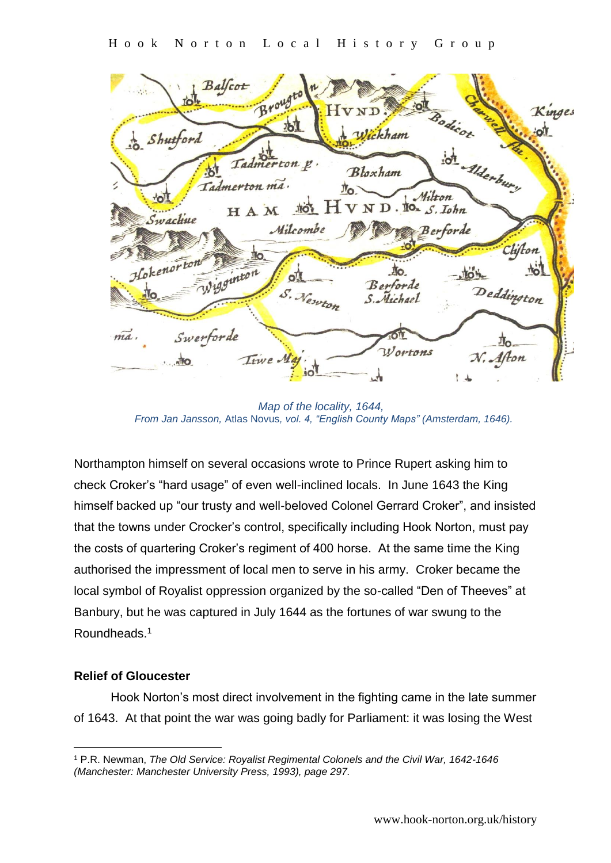Balfcot Broug Kinges Shutford Wickham d Alderbury Tadmerton p. Bloxham Tadmerton ma. Milton HAM FO  $N$  D.  $\mathbb{I}$ <sup>O</sup> $\sim$  S. Iohn Swachue Milcombe Berforde Clifton rigginton  $\hbar$  $\circ^{\tau}$ Berforde Deddington S. Newton S. Michael Swerforde ma Лο *Wortons* N. Afton Time. ٨Ť٥

 *Map of the locality, 1644, From Jan Jansson,* Atlas Novus*, vol. 4, "English County Maps" (Amsterdam, 1646).*

Northampton himself on several occasions wrote to Prince Rupert asking him to check Croker's "hard usage" of even well-inclined locals. In June 1643 the King himself backed up "our trusty and well-beloved Colonel Gerrard Croker", and insisted that the towns under Crocker's control, specifically including Hook Norton, must pay the costs of quartering Croker's regiment of 400 horse. At the same time the King authorised the impressment of local men to serve in his army. Croker became the local symbol of Royalist oppression organized by the so-called "Den of Theeves" at Banbury, but he was captured in July 1644 as the fortunes of war swung to the Roundheads.<sup>1</sup>

# **Relief of Gloucester**

<u>.</u>

Hook Norton's most direct involvement in the fighting came in the late summer of 1643. At that point the war was going badly for Parliament: it was losing the West

<sup>1</sup> P.R. Newman, *The Old Service: Royalist Regimental Colonels and the Civil War, 1642-1646 (Manchester: Manchester University Press, 1993), page 297.*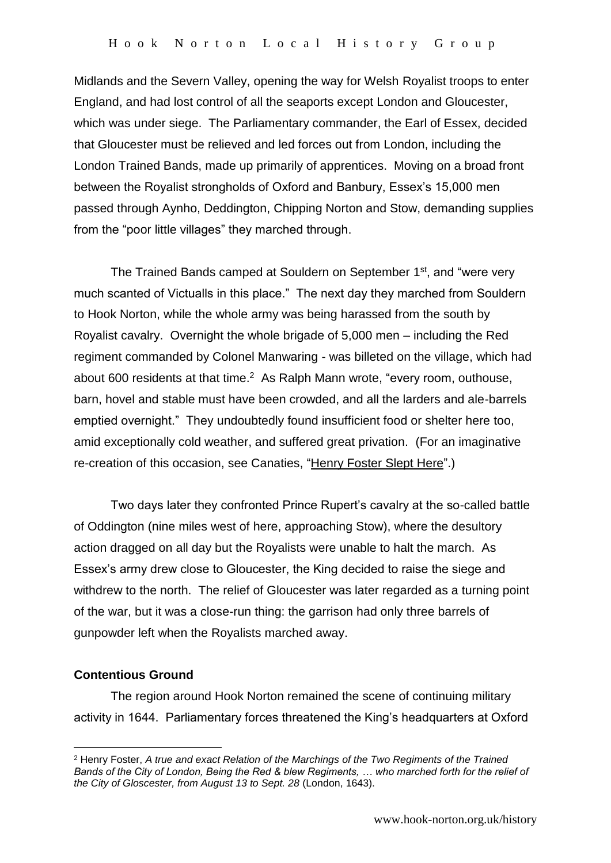Midlands and the Severn Valley, opening the way for Welsh Royalist troops to enter England, and had lost control of all the seaports except London and Gloucester, which was under siege. The Parliamentary commander, the Earl of Essex, decided that Gloucester must be relieved and led forces out from London, including the London Trained Bands, made up primarily of apprentices. Moving on a broad front between the Royalist strongholds of Oxford and Banbury, Essex's 15,000 men passed through Aynho, Deddington, Chipping Norton and Stow, demanding supplies from the "poor little villages" they marched through.

The Trained Bands camped at Souldern on September 1<sup>st</sup>, and "were very much scanted of Victualls in this place." The next day they marched from Souldern to Hook Norton, while the whole army was being harassed from the south by Royalist cavalry. Overnight the whole brigade of 5,000 men – including the Red regiment commanded by Colonel Manwaring - was billeted on the village, which had about 600 residents at that time.<sup>2</sup> As Ralph Mann wrote, "every room, outhouse, barn, hovel and stable must have been crowded, and all the larders and ale-barrels emptied overnight." They undoubtedly found insufficient food or shelter here too, amid exceptionally cold weather, and suffered great privation. (For an imaginative re-creation of this occasion, see Canaties, "Henry Foster Slept Here".)

Two days later they confronted Prince Rupert's cavalry at the so-called battle of Oddington (nine miles west of here, approaching Stow), where the desultory action dragged on all day but the Royalists were unable to halt the march. As Essex's army drew close to Gloucester, the King decided to raise the siege and withdrew to the north. The relief of Gloucester was later regarded as a turning point of the war, but it was a close-run thing: the garrison had only three barrels of gunpowder left when the Royalists marched away.

# **Contentious Ground**

<u>.</u>

The region around Hook Norton remained the scene of continuing military activity in 1644. Parliamentary forces threatened the King's headquarters at Oxford

<sup>2</sup> Henry Foster, *A true and exact Relation of the Marchings of the Two Regiments of the Trained Bands of the City of London, Being the Red & blew Regiments, … who marched forth for the relief of the City of Gloscester, from August 13 to Sept. 28* (London, 1643).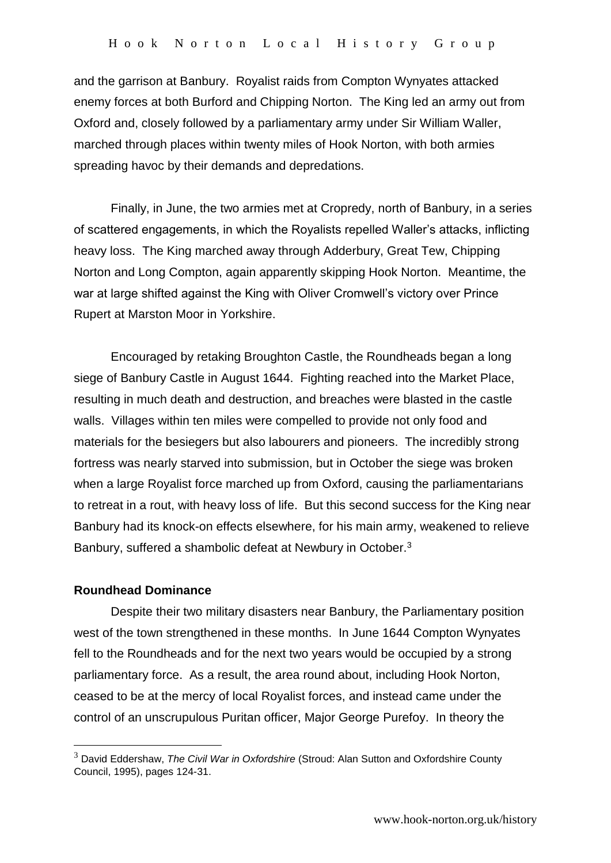and the garrison at Banbury. Royalist raids from Compton Wynyates attacked enemy forces at both Burford and Chipping Norton. The King led an army out from Oxford and, closely followed by a parliamentary army under Sir William Waller, marched through places within twenty miles of Hook Norton, with both armies spreading havoc by their demands and depredations.

Finally, in June, the two armies met at Cropredy, north of Banbury, in a series of scattered engagements, in which the Royalists repelled Waller's attacks, inflicting heavy loss. The King marched away through Adderbury, Great Tew, Chipping Norton and Long Compton, again apparently skipping Hook Norton. Meantime, the war at large shifted against the King with Oliver Cromwell's victory over Prince Rupert at Marston Moor in Yorkshire.

Encouraged by retaking Broughton Castle, the Roundheads began a long siege of Banbury Castle in August 1644. Fighting reached into the Market Place, resulting in much death and destruction, and breaches were blasted in the castle walls. Villages within ten miles were compelled to provide not only food and materials for the besiegers but also labourers and pioneers. The incredibly strong fortress was nearly starved into submission, but in October the siege was broken when a large Royalist force marched up from Oxford, causing the parliamentarians to retreat in a rout, with heavy loss of life. But this second success for the King near Banbury had its knock-on effects elsewhere, for his main army, weakened to relieve Banbury, suffered a shambolic defeat at Newbury in October.<sup>3</sup>

#### **Roundhead Dominance**

<u>.</u>

Despite their two military disasters near Banbury, the Parliamentary position west of the town strengthened in these months. In June 1644 Compton Wynyates fell to the Roundheads and for the next two years would be occupied by a strong parliamentary force. As a result, the area round about, including Hook Norton, ceased to be at the mercy of local Royalist forces, and instead came under the control of an unscrupulous Puritan officer, Major George Purefoy. In theory the

<sup>3</sup> David Eddershaw, *The Civil War in Oxfordshire* (Stroud: Alan Sutton and Oxfordshire County Council, 1995), pages 124-31.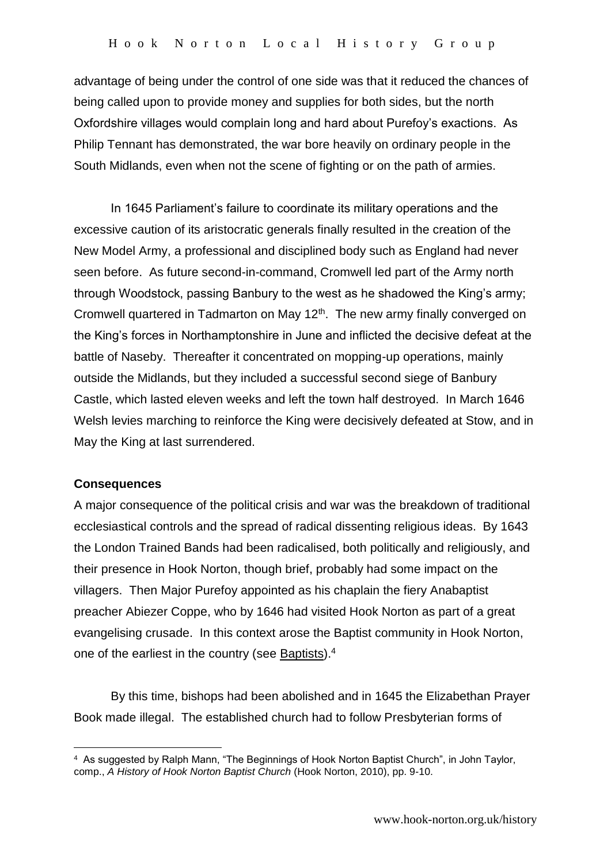advantage of being under the control of one side was that it reduced the chances of being called upon to provide money and supplies for both sides, but the north Oxfordshire villages would complain long and hard about Purefoy's exactions. As Philip Tennant has demonstrated, the war bore heavily on ordinary people in the South Midlands, even when not the scene of fighting or on the path of armies.

In 1645 Parliament's failure to coordinate its military operations and the excessive caution of its aristocratic generals finally resulted in the creation of the New Model Army, a professional and disciplined body such as England had never seen before. As future second-in-command, Cromwell led part of the Army north through Woodstock, passing Banbury to the west as he shadowed the King's army; Cromwell quartered in Tadmarton on May 12<sup>th</sup>. The new army finally converged on the King's forces in Northamptonshire in June and inflicted the decisive defeat at the battle of Naseby. Thereafter it concentrated on mopping-up operations, mainly outside the Midlands, but they included a successful second siege of Banbury Castle, which lasted eleven weeks and left the town half destroyed. In March 1646 Welsh levies marching to reinforce the King were decisively defeated at Stow, and in May the King at last surrendered.

#### **Consequences**

<u>.</u>

A major consequence of the political crisis and war was the breakdown of traditional ecclesiastical controls and the spread of radical dissenting religious ideas. By 1643 the London Trained Bands had been radicalised, both politically and religiously, and their presence in Hook Norton, though brief, probably had some impact on the villagers. Then Major Purefoy appointed as his chaplain the fiery Anabaptist preacher Abiezer Coppe, who by 1646 had visited Hook Norton as part of a great evangelising crusade. In this context arose the Baptist community in Hook Norton, one of the earliest in the country (see Baptists).<sup>4</sup>

By this time, bishops had been abolished and in 1645 the Elizabethan Prayer Book made illegal. The established church had to follow Presbyterian forms of

<sup>4</sup> As suggested by Ralph Mann, "The Beginnings of Hook Norton Baptist Church", in John Taylor, comp., *A History of Hook Norton Baptist Church* (Hook Norton, 2010), pp. 9-10.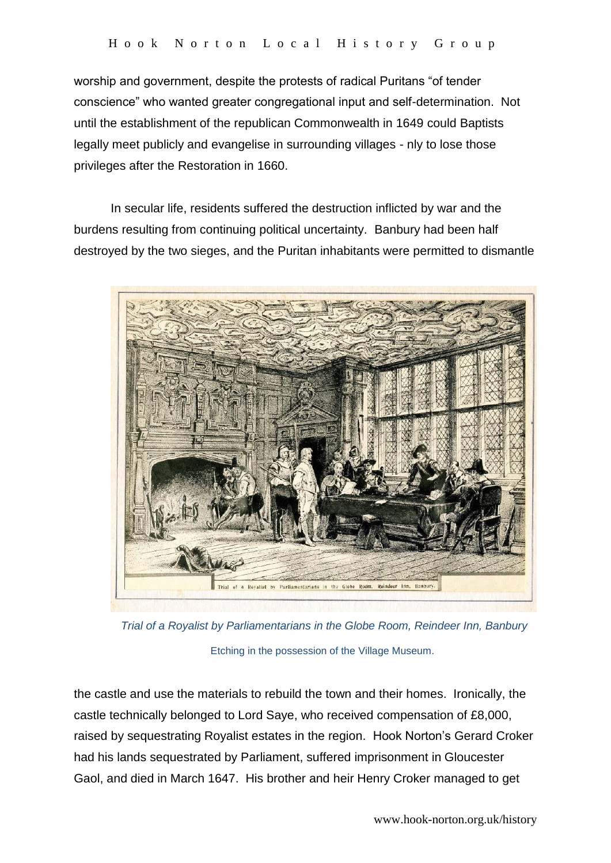worship and government, despite the protests of radical Puritans "of tender conscience" who wanted greater congregational input and self-determination. Not until the establishment of the republican Commonwealth in 1649 could Baptists legally meet publicly and evangelise in surrounding villages - nly to lose those privileges after the Restoration in 1660.

In secular life, residents suffered the destruction inflicted by war and the burdens resulting from continuing political uncertainty. Banbury had been half destroyed by the two sieges, and the Puritan inhabitants were permitted to dismantle



 *Trial of a Royalist by Parliamentarians in the Globe Room, Reindeer Inn, Banbury*  Etching in the possession of the Village Museum.

the castle and use the materials to rebuild the town and their homes. Ironically, the castle technically belonged to Lord Saye, who received compensation of £8,000, raised by sequestrating Royalist estates in the region. Hook Norton's Gerard Croker had his lands sequestrated by Parliament, suffered imprisonment in Gloucester Gaol, and died in March 1647. His brother and heir Henry Croker managed to get